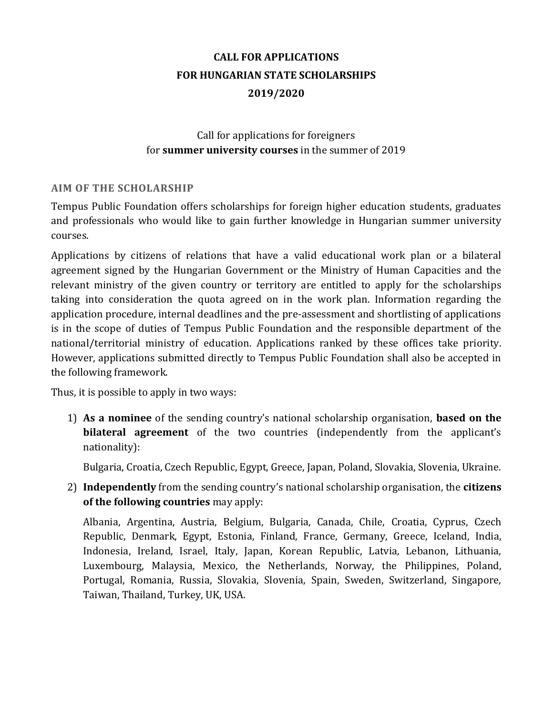# **CALL FOR APPLICATIONS FOR HUNGARIAN STATE SCHOLARSHIPS 2019/2020**

# Call for applications for foreigners for **summer university courses** in the summer of 2019

#### **AIM OF THE SCHOLARSHIP**

Tempus Public Foundation offers scholarships for foreign higher education students, graduates and professionals who would like to gain further knowledge in Hungarian summer university courses.

Applications by citizens of relations that have a valid educational work plan or a bilateral agreement signed by the Hungarian Government or the Ministry of Human Capacities and the relevant ministry of the given country or territory are entitled to apply for the scholarships taking into consideration the quota agreed on in the work plan. Information regarding the application procedure, internal deadlines and the pre-assessment and shortlisting of applications is in the scope of duties of Tempus Public Foundation and the responsible department of the national/territorial ministry of education. Applications ranked by these offices take priority. However, applications submitted directly to Tempus Public Foundation shall also be accepted in the following framework.

Thus, it is possible to apply in two ways:

1) **As a nominee** of the sending country's national scholarship organisation, **based on the bilateral agreement** of the two countries (independently from the applicant's nationality):

Bulgaria, Croatia, Czech Republic, Egypt, Greece, Japan, Poland, Slovakia, Slovenia, Ukraine.

2) **Independently** from the sending country's national scholarship organisation, the **citizens of the following countries** may apply:

Albania, Argentina, Austria, Belgium, Bulgaria, Canada, Chile, Croatia, Cyprus, Czech Republic, Denmark, Egypt, Estonia, Finland, France, Germany, Greece, Iceland, India, Indonesia, Ireland, Israel, Italy, Japan, Korean Republic, Latvia, Lebanon, Lithuania, Luxembourg, Malaysia, Mexico, the Netherlands, Norway, the Philippines, Poland, Portugal, Romania, Russia, Slovakia, Slovenia, Spain, Sweden, Switzerland, Singapore, Taiwan, Thailand, Turkey, UK, USA.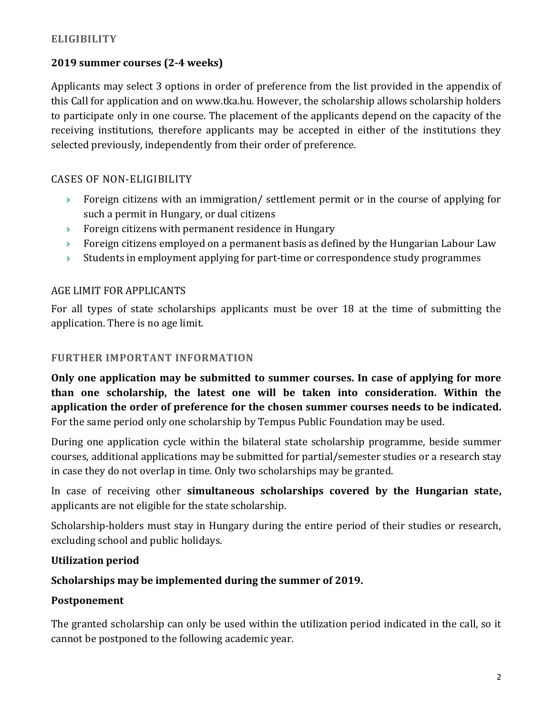# **ELIGIBILITY**

# **2019 summer courses (2-4 weeks)**

Applicants may select 3 options in order of preference from the list provided in the appendix of this Call for application and on www.tka.hu. However, the scholarship allows scholarship holders to participate only in one course. The placement of the applicants depend on the capacity of the receiving institutions, therefore applicants may be accepted in either of the institutions they selected previously, independently from their order of preference.

# CASES OF NON-ELIGIBILITY

- Foreign citizens with an immigration/ settlement permit or in the course of applying for such a permit in Hungary, or dual citizens
- Foreign citizens with permanent residence in Hungary
- **Foreign citizens employed on a permanent basis as defined by the Hungarian Labour Law**
- Students in employment applying for part-time or correspondence study programmes

# AGE LIMIT FOR APPLICANTS

For all types of state scholarships applicants must be over 18 at the time of submitting the application. There is no age limit.

### **FURTHER IMPORTANT INFORMATION**

**Only one application may be submitted to summer courses. In case of applying for more than one scholarship, the latest one will be taken into consideration. Within the application the order of preference for the chosen summer courses needs to be indicated.** For the same period only one scholarship by Tempus Public Foundation may be used.

During one application cycle within the bilateral state scholarship programme, beside summer courses, additional applications may be submitted for partial/semester studies or a research stay in case they do not overlap in time. Only two scholarships may be granted.

In case of receiving other **simultaneous scholarships covered by the Hungarian state,** applicants are not eligible for the state scholarship.

Scholarship-holders must stay in Hungary during the entire period of their studies or research, excluding school and public holidays.

### **Utilization period**

### **Scholarships may be implemented during the summer of 2019.**

### **Postponement**

The granted scholarship can only be used within the utilization period indicated in the call, so it cannot be postponed to the following academic year.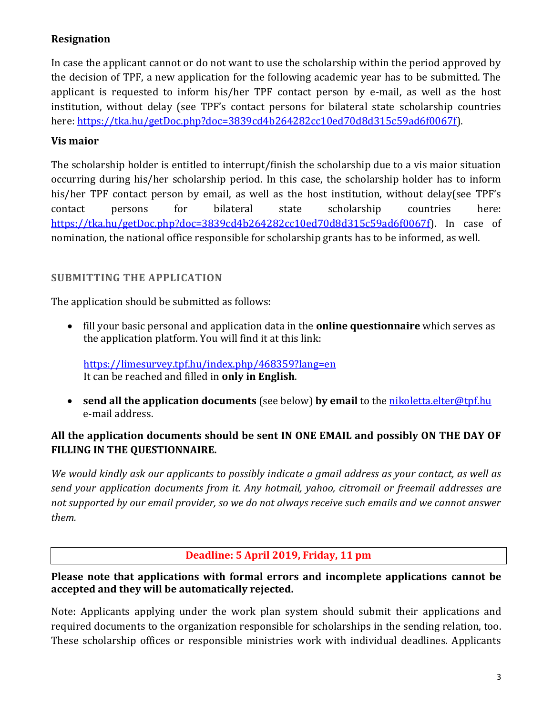# **Resignation**

In case the applicant cannot or do not want to use the scholarship within the period approved by the decision of TPF, a new application for the following academic year has to be submitted. The applicant is requested to inform his/her TPF contact person by e-mail, as well as the host institution, without delay (see TPF's contact persons for bilateral state scholarship countries here: [https://tka.hu/getDoc.php?doc=3839cd4b264282cc10ed70d8d315c59ad6f0067f\)](https://tka.hu/getDoc.php?doc=3839cd4b264282cc10ed70d8d315c59ad6f0067f).

### **Vis maior**

The scholarship holder is entitled to interrupt/finish the scholarship due to a vis maior situation occurring during his/her scholarship period. In this case, the scholarship holder has to inform his/her TPF contact person by email, as well as the host institution, without delay(see TPF's contact persons for bilateral state scholarship countries here: [https://tka.hu/getDoc.php?doc=3839cd4b264282cc10ed70d8d315c59ad6f0067f\)](https://tka.hu/getDoc.php?doc=3839cd4b264282cc10ed70d8d315c59ad6f0067f). In case of nomination, the national office responsible for scholarship grants has to be informed, as well.

# **SUBMITTING THE APPLICATION**

The application should be submitted as follows:

 fill your basic personal and application data in the **online questionnaire** which serves as the application platform. You will find it at this link:

<https://limesurvey.tpf.hu/index.php/468359?lang=en> It can be reached and filled in **only in English**.

**send all the application documents** (see below) **by email** to the [nikoletta.elter@tpf.hu](mailto:nikoletta.elter@tpf.hu) e-mail address.

# **All the application documents should be sent IN ONE EMAIL and possibly ON THE DAY OF FILLING IN THE QUESTIONNAIRE.**

*We would kindly ask our applicants to possibly indicate a gmail address as your contact, as well as send your application documents from it. Any hotmail, yahoo, citromail or freemail addresses are not supported by our email provider, so we do not always receive such emails and we cannot answer them.*

### **Deadline: 5 April 2019, Friday, 11 pm**

**Please note that applications with formal errors and incomplete applications cannot be accepted and they will be automatically rejected.** 

Note: Applicants applying under the work plan system should submit their applications and required documents to the organization responsible for scholarships in the sending relation, too. These scholarship offices or responsible ministries work with individual deadlines. Applicants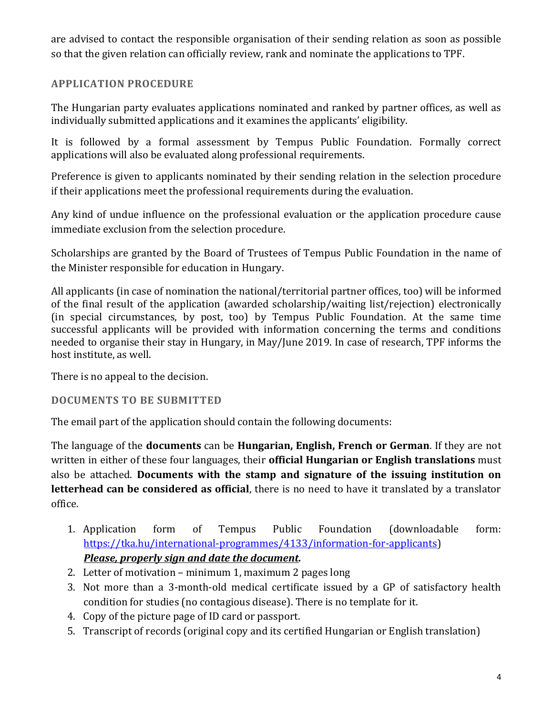are advised to contact the responsible organisation of their sending relation as soon as possible so that the given relation can officially review, rank and nominate the applications to TPF.

# **APPLICATION PROCEDURE**

The Hungarian party evaluates applications nominated and ranked by partner offices, as well as individually submitted applications and it examines the applicants' eligibility.

It is followed by a formal assessment by Tempus Public Foundation. Formally correct applications will also be evaluated along professional requirements.

Preference is given to applicants nominated by their sending relation in the selection procedure if their applications meet the professional requirements during the evaluation.

Any kind of undue influence on the professional evaluation or the application procedure cause immediate exclusion from the selection procedure.

Scholarships are granted by the Board of Trustees of Tempus Public Foundation in the name of the Minister responsible for education in Hungary.

All applicants (in case of nomination the national/territorial partner offices, too) will be informed of the final result of the application (awarded scholarship/waiting list/rejection) electronically (in special circumstances, by post, too) by Tempus Public Foundation. At the same time successful applicants will be provided with information concerning the terms and conditions needed to organise their stay in Hungary, in May/June 2019. In case of research, TPF informs the host institute, as well.

There is no appeal to the decision.

#### **DOCUMENTS TO BE SUBMITTED**

The email part of the application should contain the following documents:

The language of the **documents** can be **Hungarian, English, French or German**. If they are not written in either of these four languages, their **official Hungarian or English translations** must also be attached. **Documents with the stamp and signature of the issuing institution on letterhead can be considered as official**, there is no need to have it translated by a translator office.

- 1. Application form of Tempus Public Foundation (downloadable form: [https://tka.hu/international-programmes/4133/information-for-applicants\)](https://tka.hu/international-programmes/4133/information-for-applicants) *Please, properly sign and date the document.*
- 2. Letter of motivation minimum 1, maximum 2 pages long
- 3. Not more than a 3-month-old medical certificate issued by a GP of satisfactory health condition for studies (no contagious disease). There is no template for it.
- 4. Copy of the picture page of ID card or passport.
- 5. Transcript of records (original copy and its certified Hungarian or English translation)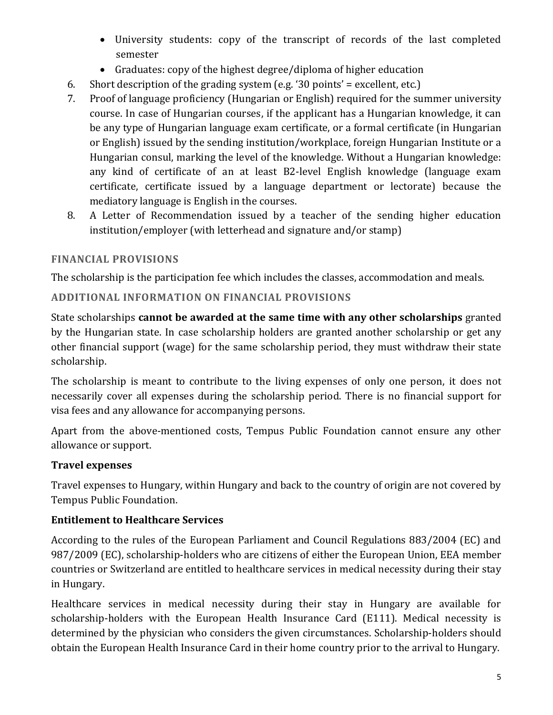- University students: copy of the transcript of records of the last completed semester
- Graduates: copy of the highest degree/diploma of higher education
- 6. Short description of the grading system (e.g. '30 points' = excellent, etc.)
- 7. Proof of language proficiency (Hungarian or English) required for the summer university course. In case of Hungarian courses, if the applicant has a Hungarian knowledge, it can be any type of Hungarian language exam certificate, or a formal certificate (in Hungarian or English) issued by the sending institution/workplace, foreign Hungarian Institute or a Hungarian consul, marking the level of the knowledge. Without a Hungarian knowledge: any kind of certificate of an at least B2-level English knowledge (language exam certificate, certificate issued by a language department or lectorate) because the mediatory language is English in the courses.
- 8. A Letter of Recommendation issued by a teacher of the sending higher education institution/employer (with letterhead and signature and/or stamp)

### **FINANCIAL PROVISIONS**

The scholarship is the participation fee which includes the classes, accommodation and meals.

# **ADDITIONAL INFORMATION ON FINANCIAL PROVISIONS**

State scholarships **cannot be awarded at the same time with any other scholarships** granted by the Hungarian state. In case scholarship holders are granted another scholarship or get any other financial support (wage) for the same scholarship period, they must withdraw their state scholarship.

The scholarship is meant to contribute to the living expenses of only one person, it does not necessarily cover all expenses during the scholarship period. There is no financial support for visa fees and any allowance for accompanying persons.

Apart from the above-mentioned costs, Tempus Public Foundation cannot ensure any other allowance or support.

### **Travel expenses**

Travel expenses to Hungary, within Hungary and back to the country of origin are not covered by Tempus Public Foundation.

# **Entitlement to Healthcare Services**

According to the rules of the European Parliament and Council Regulations 883/2004 (EC) and 987/2009 (EC), scholarship-holders who are citizens of either the European Union, EEA member countries or Switzerland are entitled to healthcare services in medical necessity during their stay in Hungary.

Healthcare services in medical necessity during their stay in Hungary are available for scholarship-holders with the European Health Insurance Card (E111). Medical necessity is determined by the physician who considers the given circumstances. Scholarship-holders should obtain the European Health Insurance Card in their home country prior to the arrival to Hungary.